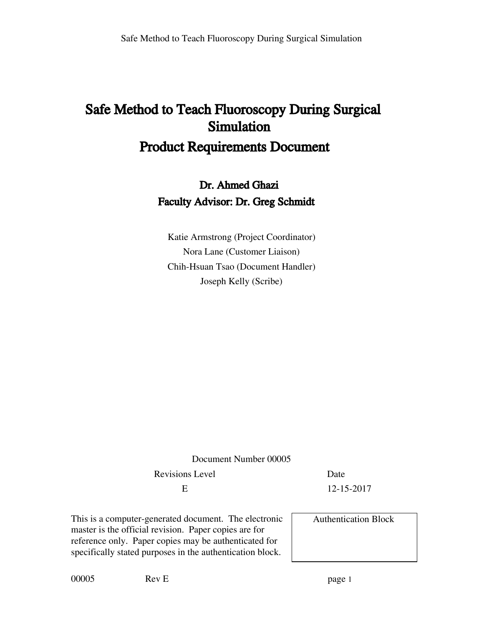# Safe Method to Teach Fluoroscopy During Surgical Simulation Product Requirements Document

Dr. Ahmed Ghazi Faculty Advisor: Dr. Greg Schmidt

Katie Armstrong (Project Coordinator) Nora Lane (Customer Liaison) Chih-Hsuan Tsao (Document Handler) Joseph Kelly (Scribe)

| Document Number 00005                                                                                                                                                                                                                |                             |  |
|--------------------------------------------------------------------------------------------------------------------------------------------------------------------------------------------------------------------------------------|-----------------------------|--|
| <b>Revisions Level</b>                                                                                                                                                                                                               | Date                        |  |
| E                                                                                                                                                                                                                                    | 12-15-2017                  |  |
| This is a computer-generated document. The electronic<br>master is the official revision. Paper copies are for<br>reference only. Paper copies may be authenticated for<br>specifically stated purposes in the authentication block. | <b>Authentication Block</b> |  |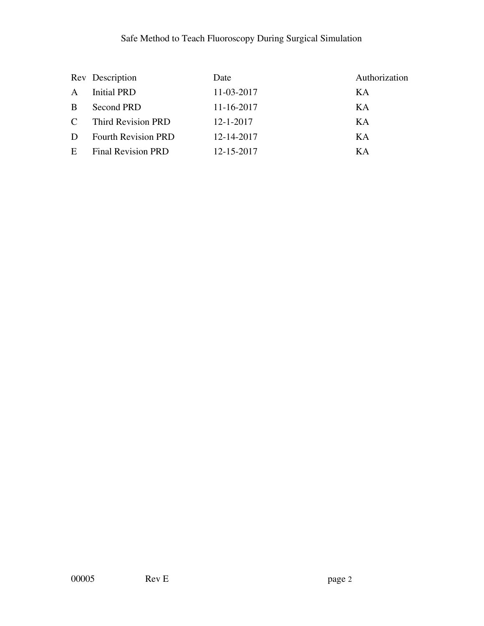|               | Rev Description            | Date            | Authorization |
|---------------|----------------------------|-----------------|---------------|
| $\mathbf{A}$  | <b>Initial PRD</b>         | 11-03-2017      | KA            |
| B.            | Second PRD                 | 11-16-2017      | KA            |
| $\mathcal{C}$ | Third Revision PRD         | $12 - 1 - 2017$ | KA            |
| D             | <b>Fourth Revision PRD</b> | 12-14-2017      | KА            |
| E             | <b>Final Revision PRD</b>  | 12-15-2017      | KА            |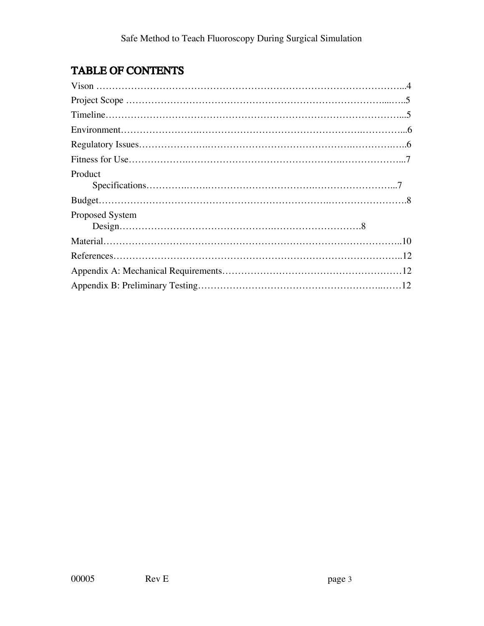# TABLE OF CONTENTS

| Product         |  |
|-----------------|--|
|                 |  |
| Proposed System |  |
|                 |  |
|                 |  |
|                 |  |
|                 |  |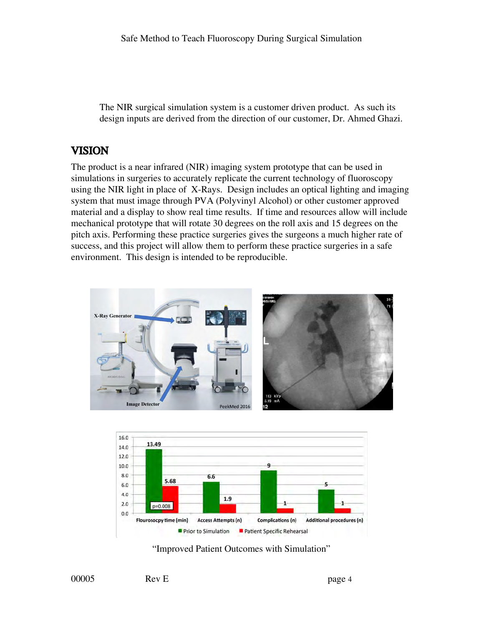The NIR surgical simulation system is a customer driven product. As such its design inputs are derived from the direction of our customer, Dr. Ahmed Ghazi.

# VISION

The product is a near infrared (NIR) imaging system prototype that can be used in simulations in surgeries to accurately replicate the current technology of fluoroscopy using the NIR light in place of X-Rays. Design includes an optical lighting and imaging system that must image through PVA (Polyvinyl Alcohol) or other customer approved material and a display to show real time results. If time and resources allow will include mechanical prototype that will rotate 30 degrees on the roll axis and 15 degrees on the pitch axis. Performing these practice surgeries gives the surgeons a much higher rate of success, and this project will allow them to perform these practice surgeries in a safe environment. This design is intended to be reproducible.





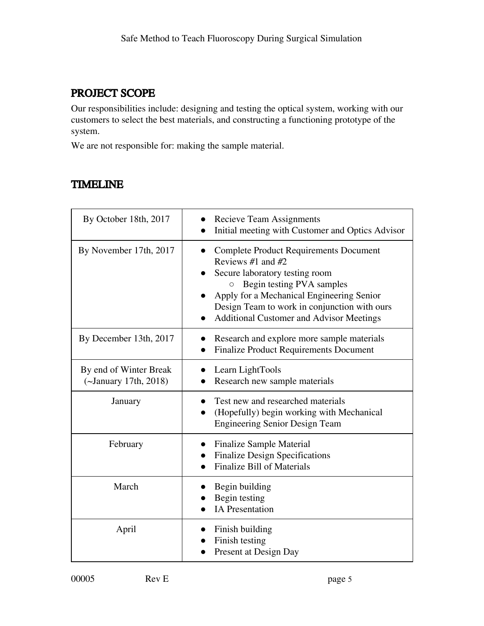# PROJECT SCOPE

Our responsibilities include: designing and testing the optical system, working with our customers to select the best materials, and constructing a functioning prototype of the system.

We are not responsible for: making the sample material.

# TIMELINE

| By October 18th, 2017                           | <b>Recieve Team Assignments</b><br>Initial meeting with Customer and Optics Advisor                                                                                                                                                                                                      |
|-------------------------------------------------|------------------------------------------------------------------------------------------------------------------------------------------------------------------------------------------------------------------------------------------------------------------------------------------|
| By November 17th, 2017                          | <b>Complete Product Requirements Document</b><br>Reviews #1 and $#2$<br>Secure laboratory testing room<br>Begin testing PVA samples<br>O<br>Apply for a Mechanical Engineering Senior<br>Design Team to work in conjunction with ours<br><b>Additional Customer and Advisor Meetings</b> |
| By December 13th, 2017                          | Research and explore more sample materials<br><b>Finalize Product Requirements Document</b>                                                                                                                                                                                              |
| By end of Winter Break<br>(~January 17th, 2018) | Learn LightTools<br>Research new sample materials                                                                                                                                                                                                                                        |
| January                                         | Test new and researched materials<br>(Hopefully) begin working with Mechanical<br><b>Engineering Senior Design Team</b>                                                                                                                                                                  |
| February                                        | <b>Finalize Sample Material</b><br><b>Finalize Design Specifications</b><br><b>Finalize Bill of Materials</b>                                                                                                                                                                            |
| March                                           | Begin building<br>Begin testing<br><b>IA</b> Presentation                                                                                                                                                                                                                                |
| April                                           | Finish building<br>Finish testing<br>Present at Design Day                                                                                                                                                                                                                               |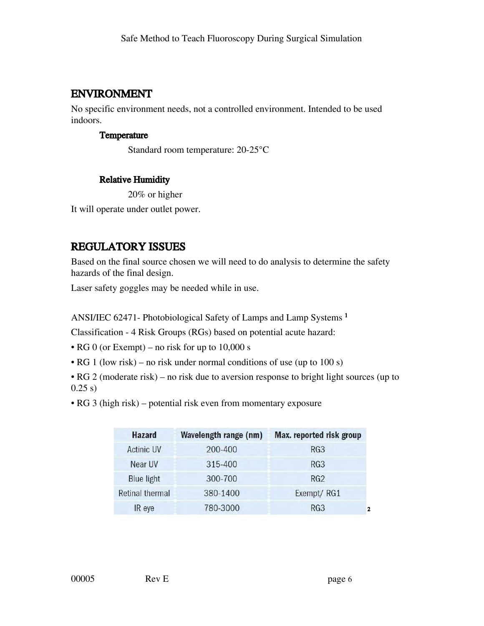# ENVIRONMENT

No specific environment needs, not a controlled environment. Intended to be used indoors.

#### Temperature

Standard room temperature: 20-25°C

### Relative Humidity

20% or higher It will operate under outlet power.

# REGULATORY ISSUES

Based on the final source chosen we will need to do analysis to determine the safety hazards of the final design.

Laser safety goggles may be needed while in use.

ANSI/IEC 62471- Photobiological Safety of Lamps and Lamp Systems <sup>1</sup>

Classification - 4 Risk Groups (RGs) based on potential acute hazard:

• RG 0 (or Exempt) – no risk for up to 10,000 s

• RG 1 (low risk) – no risk under normal conditions of use (up to 100 s)

• RG 2 (moderate risk) – no risk due to aversion response to bright light sources (up to  $0.25 s)$ 

• RG 3 (high risk) – potential risk even from momentary exposure

| Hazard                 | <b>Wavelength range (nm)</b> | Max. reported risk group |
|------------------------|------------------------------|--------------------------|
| <b>Actinic UV</b>      | 200-400                      | RG <sub>3</sub>          |
| Near UV                | 315-400                      | RG <sub>3</sub>          |
| <b>Blue light</b>      | 300-700                      | RG2                      |
| <b>Retinal thermal</b> | 380-1400                     | Exempt/RG1               |
| IR eye                 | 780-3000                     | RG <sub>3</sub><br>2     |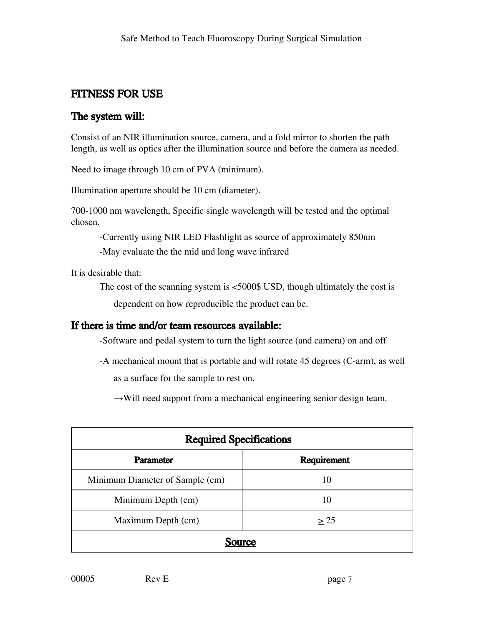# FITNESS FOR USE

### The system will:

Consist of an NIR illumination source, camera, and a fold mirror to shorten the path length, as well as optics after the illumination source and before the camera as needed.

Need to image through 10 cm of PVA (minimum).

Illumination aperture should be 10 cm (diameter).

700-1000 nm wavelength, Specific single wavelength will be tested and the optimal chosen.

-Currently using NIR LED Flashlight as source of approximately 850nm -May evaluate the the mid and long wave infrared

It is desirable that:

The cost of the scanning system is <5000\$ USD, though ultimately the cost is

dependent on how reproducible the product can be.

### If there is time and/or team resources available:

-Software and pedal system to turn the light source (and camera) on and off

-A mechanical mount that is portable and will rotate 45 degrees (C-arm), as well as a surface for the sample to rest on.

 $\rightarrow$ Will need support from a mechanical engineering senior design team.

| <b>Required Specifications</b>  |                    |  |
|---------------------------------|--------------------|--|
| Parameter                       | <b>Requirement</b> |  |
| Minimum Diameter of Sample (cm) | 10                 |  |
| Minimum Depth (cm)              | 10                 |  |
| Maximum Depth (cm)              | > 25               |  |
| Source                          |                    |  |

00005 Rev E page 7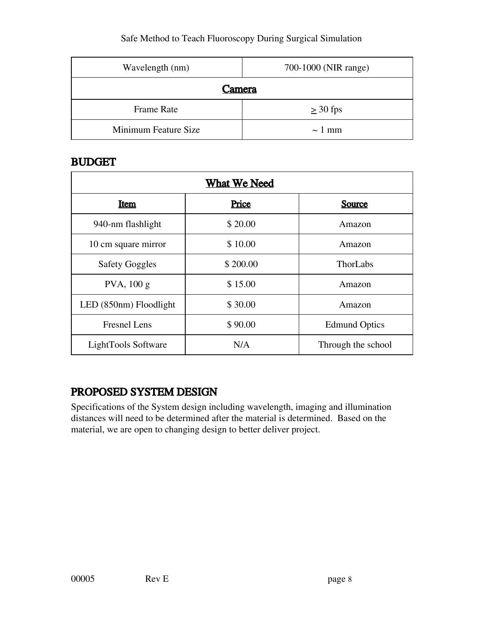| Wavelength (nm)      | 700-1000 (NIR range) |
|----------------------|----------------------|
| Camera               |                      |
| Frame Rate           | $\geq$ 30 fps        |
| Minimum Feature Size | $\sim$ 1 mm          |

# BUDGET

| <b>What We Need</b>    |          |                      |
|------------------------|----------|----------------------|
| <u>Item</u>            | Price    | Source               |
| 940-nm flashlight      | \$20.00  | Amazon               |
| 10 cm square mirror    | \$10.00  | Amazon               |
| <b>Safety Goggles</b>  | \$200.00 | ThorLabs             |
| $PVA$ , 100 g          | \$15.00  | Amazon               |
| LED (850nm) Floodlight | \$30.00  | Amazon               |
| <b>Fresnel Lens</b>    | \$90.00  | <b>Edmund Optics</b> |
| LightTools Software    | N/A      | Through the school   |

# PROPOSED SYSTEM DESIGN

Specifications of the System design including wavelength, imaging and illumination distances will need to be determined after the material is determined. Based on the material, we are open to changing design to better deliver project.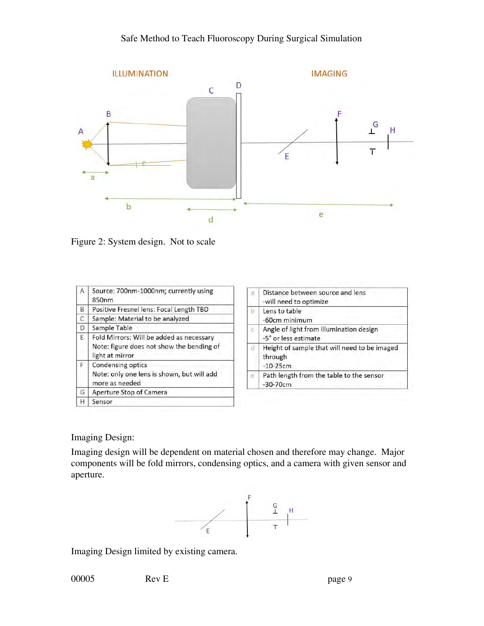

Figure 2: System design. Not to scale

| А              | Source: 700nm-1000nm; currently using<br>850 <sub>nm</sub>   | Distance between source and lens<br>-will need to optimize |
|----------------|--------------------------------------------------------------|------------------------------------------------------------|
| B              | Positive Fresnel lens: Focal Length TBD                      | Lens to table                                              |
| С              | Sample: Material to be analyzed                              | -60cm minimum                                              |
| D              | Sample Table                                                 | Angle of light from illumination design                    |
| E              | Fold Mirrors: Will be added as necessary                     | -5° or less estimate                                       |
|                | Note: figure does not show the bending of<br>light at mirror | Height of sample that will need to be imaged<br>through    |
| F              | Condensing optics                                            | $-10-25cm$                                                 |
| more as needed | Note: only one lens is shown, but will add                   | Path length from the table to the sensor<br>$-30-70cm$     |
| G              | Aperture Stop of Camera                                      |                                                            |
|                | Sensor                                                       |                                                            |

Imaging Design:

Imaging design will be dependent on material chosen and therefore may change. Major components will be fold mirrors, condensing optics, and a camera with given sensor and aperture.



Imaging Design limited by existing camera.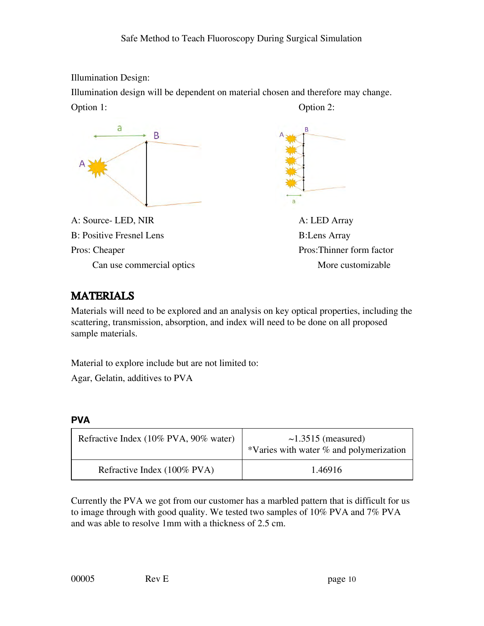Illumination Design:

Illumination design will be dependent on material chosen and therefore may change. Option 1: Option 2:



A: Source- LED, NIR A: LED Array B: Positive Fresnel Lens B: Lens Array Pros: Cheaper Pros: Thinner form factor



Can use commercial optics More customizable

# **MATERIALS**

Materials will need to be explored and an analysis on key optical properties, including the scattering, transmission, absorption, and index will need to be done on all proposed sample materials.

Material to explore include but are not limited to:

Agar, Gelatin, additives to PVA

#### **PVA**

| Refractive Index (10% PVA, 90% water) | $\sim$ 1.3515 (measured)<br>*Varies with water % and polymerization |
|---------------------------------------|---------------------------------------------------------------------|
| Refractive Index (100% PVA)           | 1.46916                                                             |

Currently the PVA we got from our customer has a marbled pattern that is difficult for us to image through with good quality. We tested two samples of 10% PVA and 7% PVA and was able to resolve 1mm with a thickness of 2.5 cm.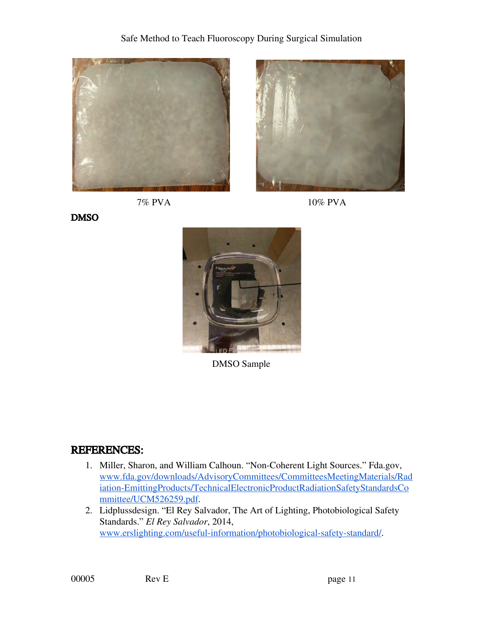







DMSO



DMSO Sample

### REFERENCES:

- 1. Miller, Sharon, and William Calhoun. "Non-Coherent Light Sources." Fda.gov, [www.fda.gov/downloads/AdvisoryCommittees/CommitteesMeetingMaterials/Rad](http://www.fda.gov/downloads/AdvisoryCommittees/CommitteesMeetingMaterials/Radiation-EmittingProducts/TechnicalElectronicProductRadiationSafetyStandardsCommittee/UCM526259.pdf) [iation-EmittingProducts/TechnicalElectronicProductRadiationSafetyStandardsCo](http://www.fda.gov/downloads/AdvisoryCommittees/CommitteesMeetingMaterials/Radiation-EmittingProducts/TechnicalElectronicProductRadiationSafetyStandardsCommittee/UCM526259.pdf) [mmittee/UCM526259.pdf](http://www.fda.gov/downloads/AdvisoryCommittees/CommitteesMeetingMaterials/Radiation-EmittingProducts/TechnicalElectronicProductRadiationSafetyStandardsCommittee/UCM526259.pdf).
- 2. Lidplussdesign. "El Rey Salvador, The Art of Lighting, Photobiological Safety Standards." *El Rey Salvador*, 2014, [www.erslighting.com/useful-information/photobiological-safety-standard/.](http://www.erslighting.com/useful-information/photobiological-safety-standard/)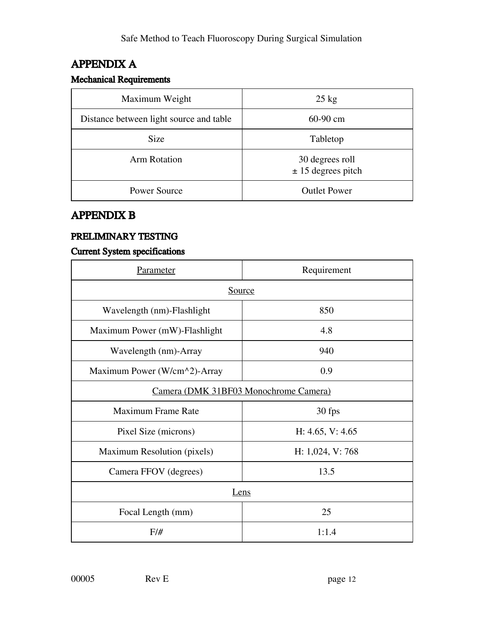# APPENDIX A

### Mechanical Requirements

| Maximum Weight                          | $25 \text{ kg}$                         |
|-----------------------------------------|-----------------------------------------|
| Distance between light source and table | $60-90$ cm                              |
| <b>Size</b>                             | Tabletop                                |
| <b>Arm Rotation</b>                     | 30 degrees roll<br>$± 15$ degrees pitch |
| <b>Power Source</b>                     | <b>Outlet Power</b>                     |

# APPENDIX B

### PRELIMINARY TESTING

### Current System specifications

| <b>Parameter</b>                      | Requirement      |  |
|---------------------------------------|------------------|--|
| <b>Source</b>                         |                  |  |
| Wavelength (nm)-Flashlight            | 850              |  |
| Maximum Power (mW)-Flashlight         | 4.8              |  |
| Wavelength (nm)-Array                 | 940              |  |
| Maximum Power (W/cm^2)-Array          | 0.9              |  |
| Camera (DMK 31BF03 Monochrome Camera) |                  |  |
| <b>Maximum Frame Rate</b>             | 30 fps           |  |
| Pixel Size (microns)                  | H: 4.65, V: 4.65 |  |
| Maximum Resolution (pixels)           | H: 1,024, V: 768 |  |
| Camera FFOV (degrees)                 | 13.5             |  |
| Lens                                  |                  |  |
| Focal Length (mm)                     | 25               |  |
| F/H                                   | 1:1.4            |  |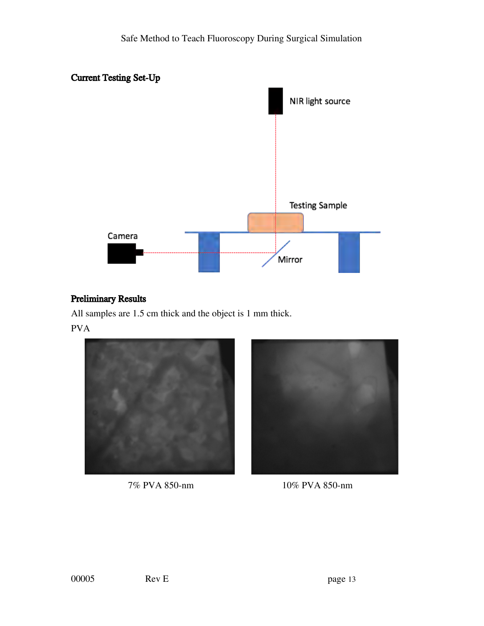

### Preliminary Results

All samples are 1.5 cm thick and the object is 1 mm thick. PVA





7% PVA 850-nm 10% PVA 850-nm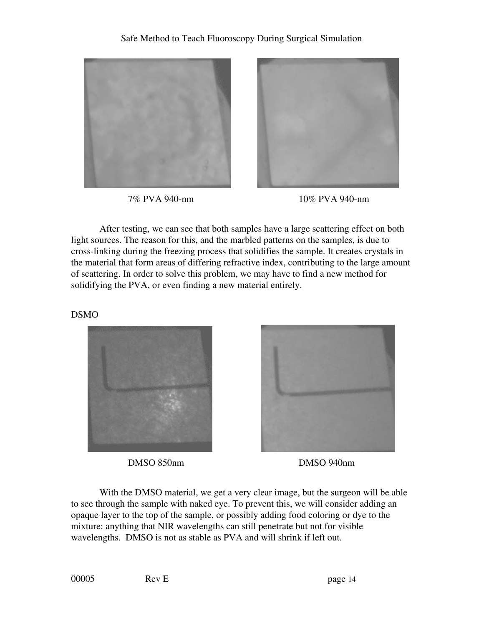





After testing, we can see that both samples have a large scattering effect on both light sources. The reason for this, and the marbled patterns on the samples, is due to cross-linking during the freezing process that solidifies the sample. It creates crystals in the material that form areas of differing refractive index, contributing to the large amount of scattering. In order to solve this problem, we may have to find a new method for solidifying the PVA, or even finding a new material entirely.

DSMO





DMSO 850nm DMSO 940nm

With the DMSO material, we get a very clear image, but the surgeon will be able to see through the sample with naked eye. To prevent this, we will consider adding an opaque layer to the top of the sample, or possibly adding food coloring or dye to the mixture: anything that NIR wavelengths can still penetrate but not for visible wavelengths. DMSO is not as stable as PVA and will shrink if left out.